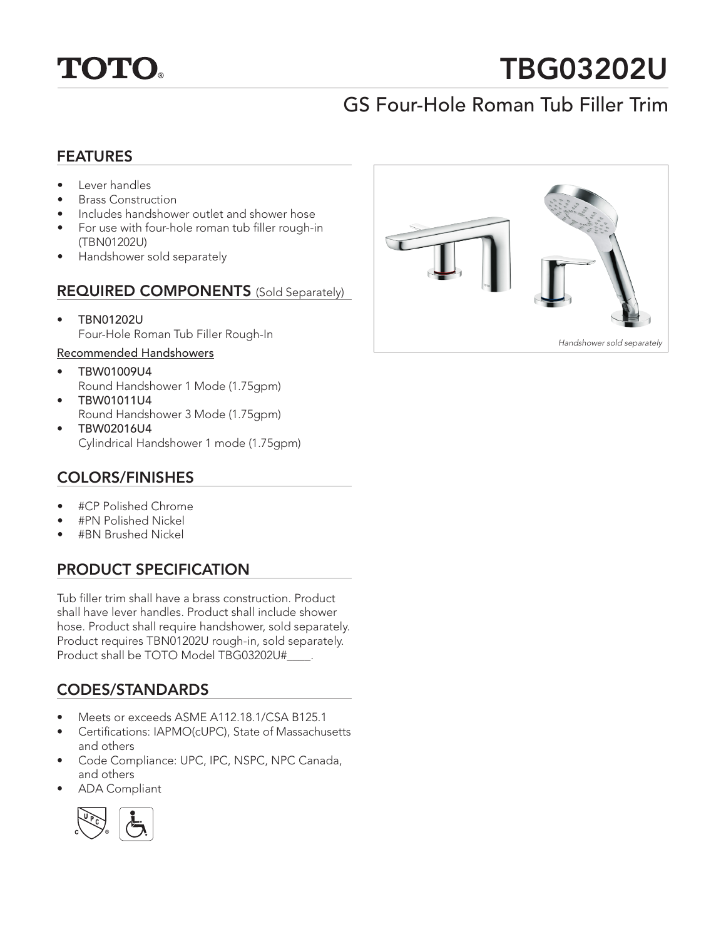

# TBG03202U

# GS Four-Hole Roman Tub Filler Trim

#### FEATURES

- Lever handles
- Brass Construction
- Includes handshower outlet and shower hose
- For use with four-hole roman tub filler rough-in (TBN01202U)
- Handshower sold separately

#### REQUIRED COMPONENTS (Sold Separately)

• TBN01202U Four-Hole Roman Tub Filler Rough-In

#### Recommended Handshowers

- TBW01009U4 Round Handshower 1 Mode (1.75gpm)
- TBW01011U4 Round Handshower 3 Mode (1.75gpm)
- TBW02016U4 Cylindrical Handshower 1 mode (1.75gpm)

## COLORS/FINISHES

- #CP Polished Chrome
- #PN Polished Nickel
- #BN Brushed Nickel

# PRODUCT SPECIFICATION

Tub filler trim shall have a brass construction. Product shall have lever handles. Product shall include shower hose. Product shall require handshower, sold separately. Product requires TBN01202U rough-in, sold separately. Product shall be TOTO Model TBG03202U#\_\_\_\_.

# CODES/STANDARDS

- Meets or exceeds ASME A112.18.1/CSA B125.1
- Certifications: IAPMO(cUPC), State of Massachusetts and others
- Code Compliance: UPC, IPC, NSPC, NPC Canada, and others
- ADA Compliant